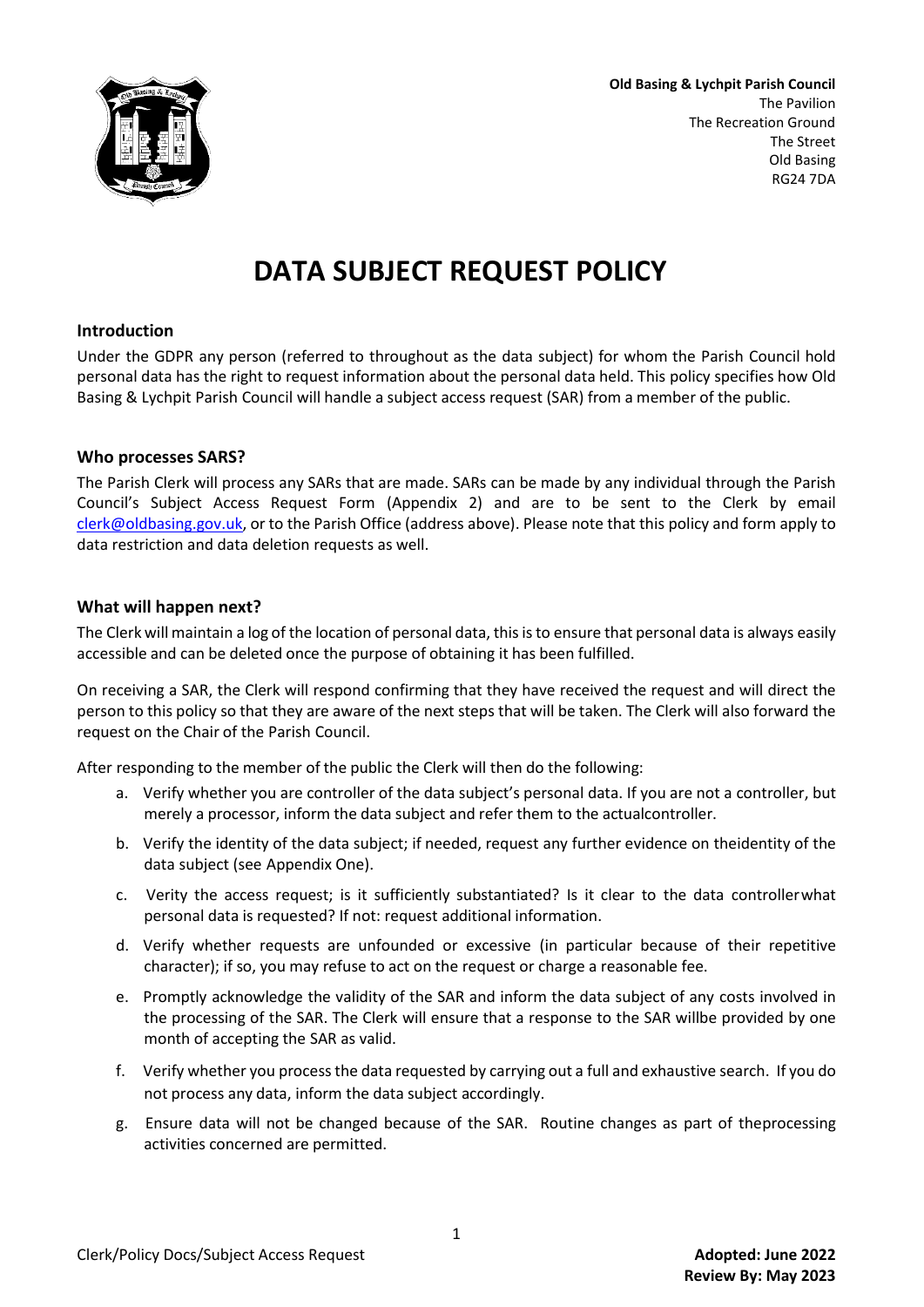

**Old Basing & Lychpit Parish Council** The Pavilion The Recreation Ground The Street Old Basing RG24 7DA

## **DATA SUBJECT REQUEST POLICY**

#### **Introduction**

Under the GDPR any person (referred to throughout as the data subject) for whom the Parish Council hold personal data has the right to request information about the personal data held. This policy specifies how Old Basing & Lychpit Parish Council will handle a subject access request (SAR) from a member of the public.

#### **Who processes SARS?**

The Parish Clerk will process any SARs that are made. SARs can be made by any individual through the Parish Council's Subject Access Request Form (Appendix 2) and are to be sent to the Clerk by email [clerk@oldbasing.gov.uk,](mailto:clerk@oldbasing.gov.uk) or to the Parish Office (address above). Please note that this policy and form apply to data restriction and data deletion requests as well.

#### **What will happen next?**

The Clerk will maintain a log of the location of personal data, thisisto ensure that personal data is always easily accessible and can be deleted once the purpose of obtaining it has been fulfilled.

On receiving a SAR, the Clerk will respond confirming that they have received the request and will direct the person to this policy so that they are aware of the next steps that will be taken. The Clerk will also forward the request on the Chair of the Parish Council.

After responding to the member of the public the Clerk will then do the following:

- a. Verify whether you are controller of the data subject's personal data. If you are not a controller, but merely a processor, inform the data subject and refer them to the actualcontroller.
- b. Verify the identity of the data subject; if needed, request any further evidence on theidentity of the data subject (see Appendix One).
- c. Verity the access request; is it sufficiently substantiated? Is it clear to the data controllerwhat personal data is requested? If not: request additional information.
- d. Verify whether requests are unfounded or excessive (in particular because of their repetitive character); if so, you may refuse to act on the request or charge a reasonable fee.
- e. Promptly acknowledge the validity of the SAR and inform the data subject of any costs involved in the processing of the SAR. The Clerk will ensure that a response to the SAR willbe provided by one month of accepting the SAR as valid.
- f. Verify whether you processthe data requested by carrying out a full and exhaustive search. If you do not process any data, inform the data subject accordingly.
- g. Ensure data will not be changed because of the SAR. Routine changes as part of theprocessing activities concerned are permitted.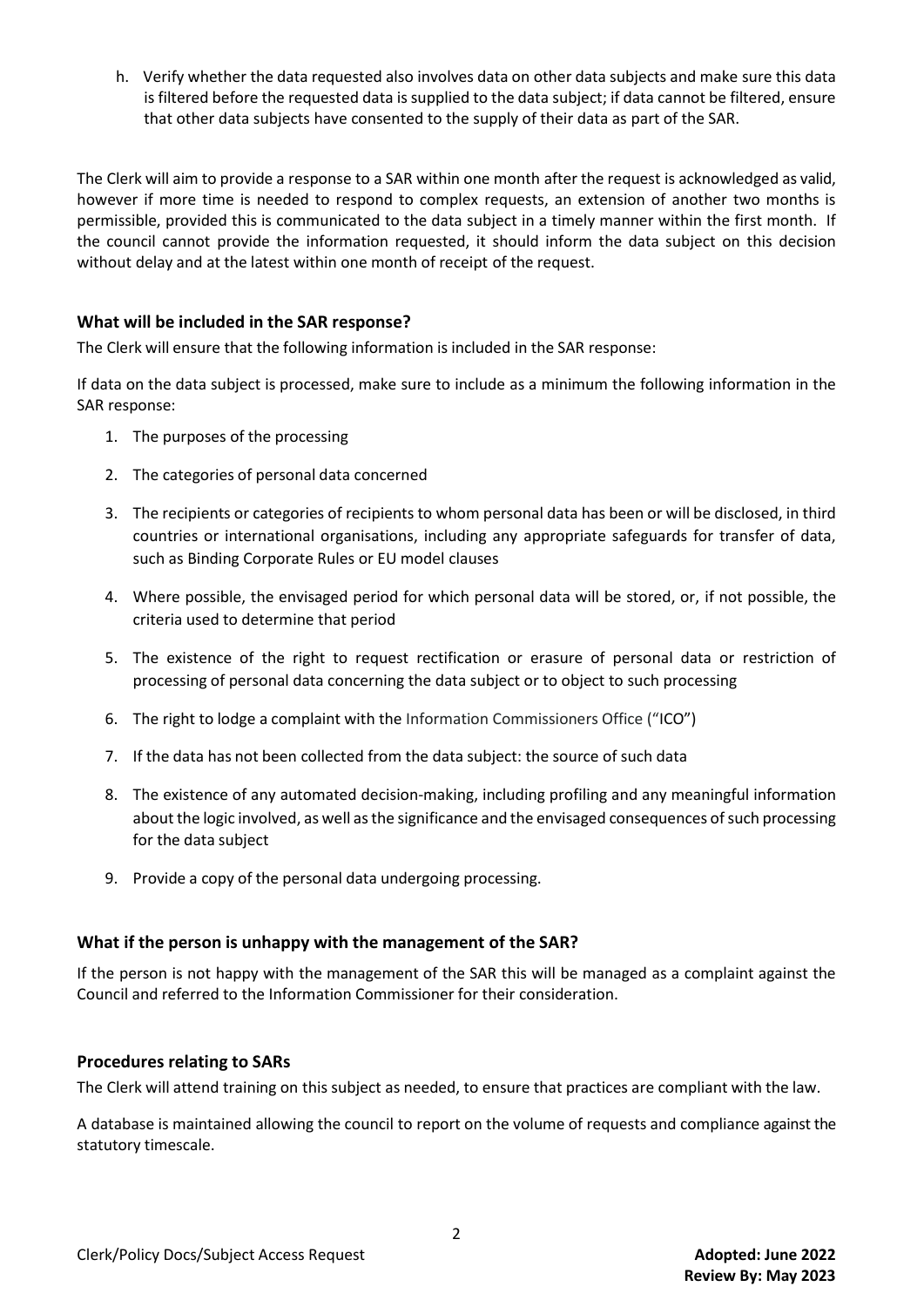h. Verify whether the data requested also involves data on other data subjects and make sure this data is filtered before the requested data is supplied to the data subject; if data cannot be filtered, ensure that other data subjects have consented to the supply of their data as part of the SAR.

The Clerk will aim to provide a response to a SAR within one month after the request is acknowledged as valid, however if more time is needed to respond to complex requests, an extension of another two months is permissible, provided this is communicated to the data subject in a timely manner within the first month. If the council cannot provide the information requested, it should inform the data subject on this decision without delay and at the latest within one month of receipt of the request.

#### **What will be included in the SAR response?**

The Clerk will ensure that the following information is included in the SAR response:

If data on the data subject is processed, make sure to include as a minimum the following information in the SAR response:

- 1. The purposes of the processing
- 2. The categories of personal data concerned
- 3. The recipients or categories of recipients to whom personal data has been or will be disclosed, in third countries or international organisations, including any appropriate safeguards for transfer of data, such as Binding Corporate Rules or EU model clauses
- 4. Where possible, the envisaged period for which personal data will be stored, or, if not possible, the criteria used to determine that period
- 5. The existence of the right to request rectification or erasure of personal data or restriction of processing of personal data concerning the data subject or to object to such processing
- 6. The right to lodge a complaint with the Information Commissioners Office ("ICO")
- 7. If the data has not been collected from the data subject: the source of such data
- 8. The existence of any automated decision-making, including profiling and any meaningful information about the logic involved, as well as the significance and the envisaged consequences of such processing for the data subject
- 9. Provide a copy of the personal data undergoing processing.

#### **What if the person is unhappy with the management of the SAR?**

If the person is not happy with the management of the SAR this will be managed as a complaint against the Council and referred to the Information Commissioner for their consideration.

#### **Procedures relating to SARs**

The Clerk will attend training on this subject as needed, to ensure that practices are compliant with the law.

A database is maintained allowing the council to report on the volume of requests and compliance against the statutory timescale.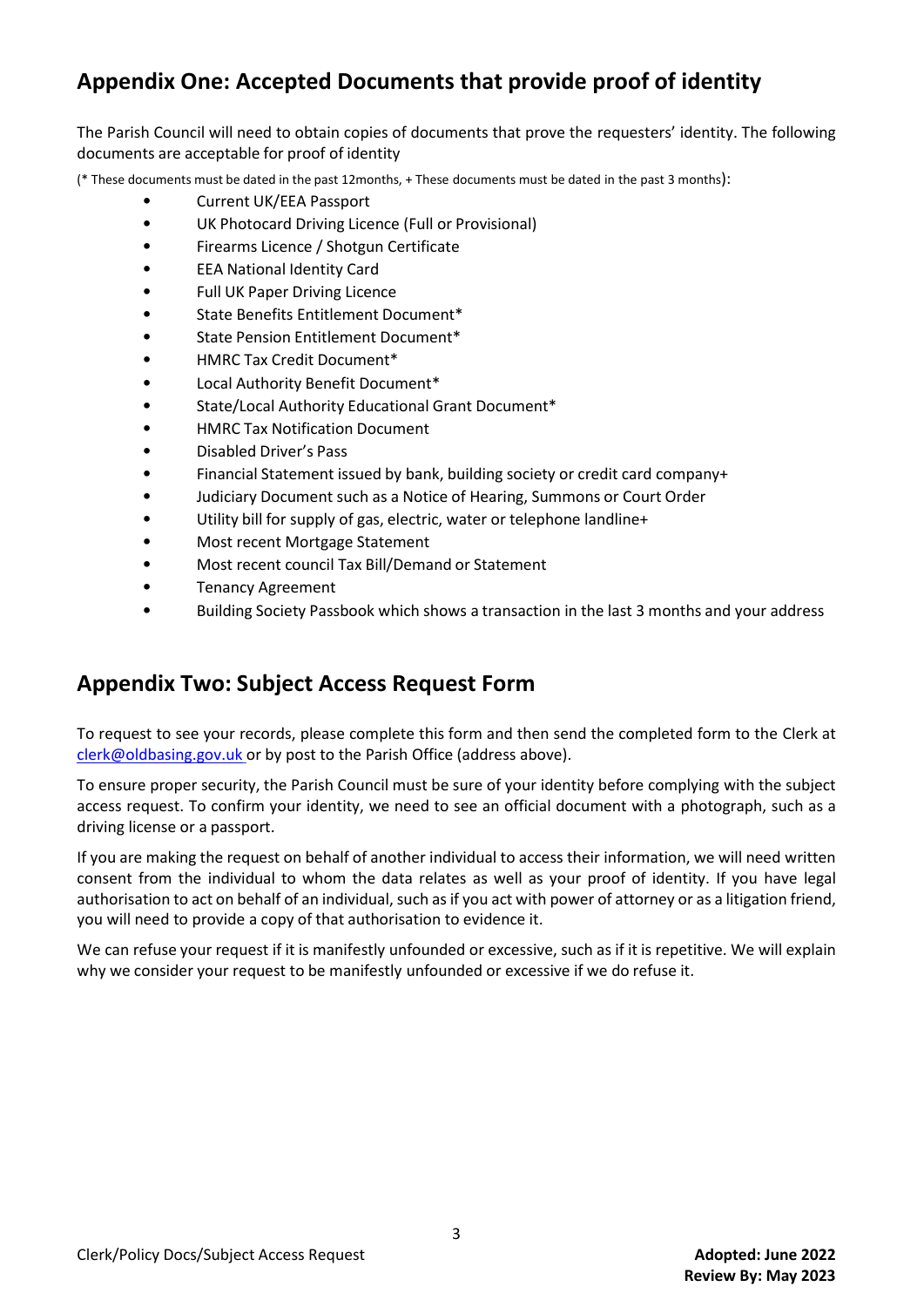### **Appendix One: Accepted Documents that provide proof of identity**

The Parish Council will need to obtain copies of documents that prove the requesters' identity. The following documents are acceptable for proof of identity

(\* These documents must be dated in the past 12months, + These documents must be dated in the past 3 months):

- Current UK/EEA Passport
- UK Photocard Driving Licence (Full or Provisional)
- Firearms Licence / Shotgun Certificate
- EEA National Identity Card
- Full UK Paper Driving Licence
- State Benefits Entitlement Document\*
- State Pension Entitlement Document\*
- HMRC Tax Credit Document\*
- Local Authority Benefit Document\*
- State/Local Authority Educational Grant Document\*
- HMRC Tax Notification Document
- Disabled Driver's Pass
- Financial Statement issued by bank, building society or credit card company+
- Judiciary Document such as a Notice of Hearing, Summons or Court Order
- Utility bill for supply of gas, electric, water or telephone landline+
- Most recent Mortgage Statement
- Most recent council Tax Bill/Demand or Statement
- Tenancy Agreement
- Building Society Passbook which shows a transaction in the last 3 months and your address

### **Appendix Two: Subject Access Request Form**

To request to see your records, please complete this form and then send the completed form to the Clerk at [clerk@oldbasing.gov.uk](mailto:clerk@oldbasing.gov.uk) or by post to the Parish Office (address above).

To ensure proper security, the Parish Council must be sure of your identity before complying with the subject access request. To confirm your identity, we need to see an official document with a photograph, such as a driving license or a passport.

If you are making the request on behalf of another individual to access their information, we will need written consent from the individual to whom the data relates as well as your proof of identity. If you have legal authorisation to act on behalf of an individual, such as if you act with power of attorney or as a litigation friend, you will need to provide a copy of that authorisation to evidence it.

We can refuse your request if it is manifestly unfounded or excessive, such as if it is repetitive. We will explain why we consider your request to be manifestly unfounded or excessive if we do refuse it.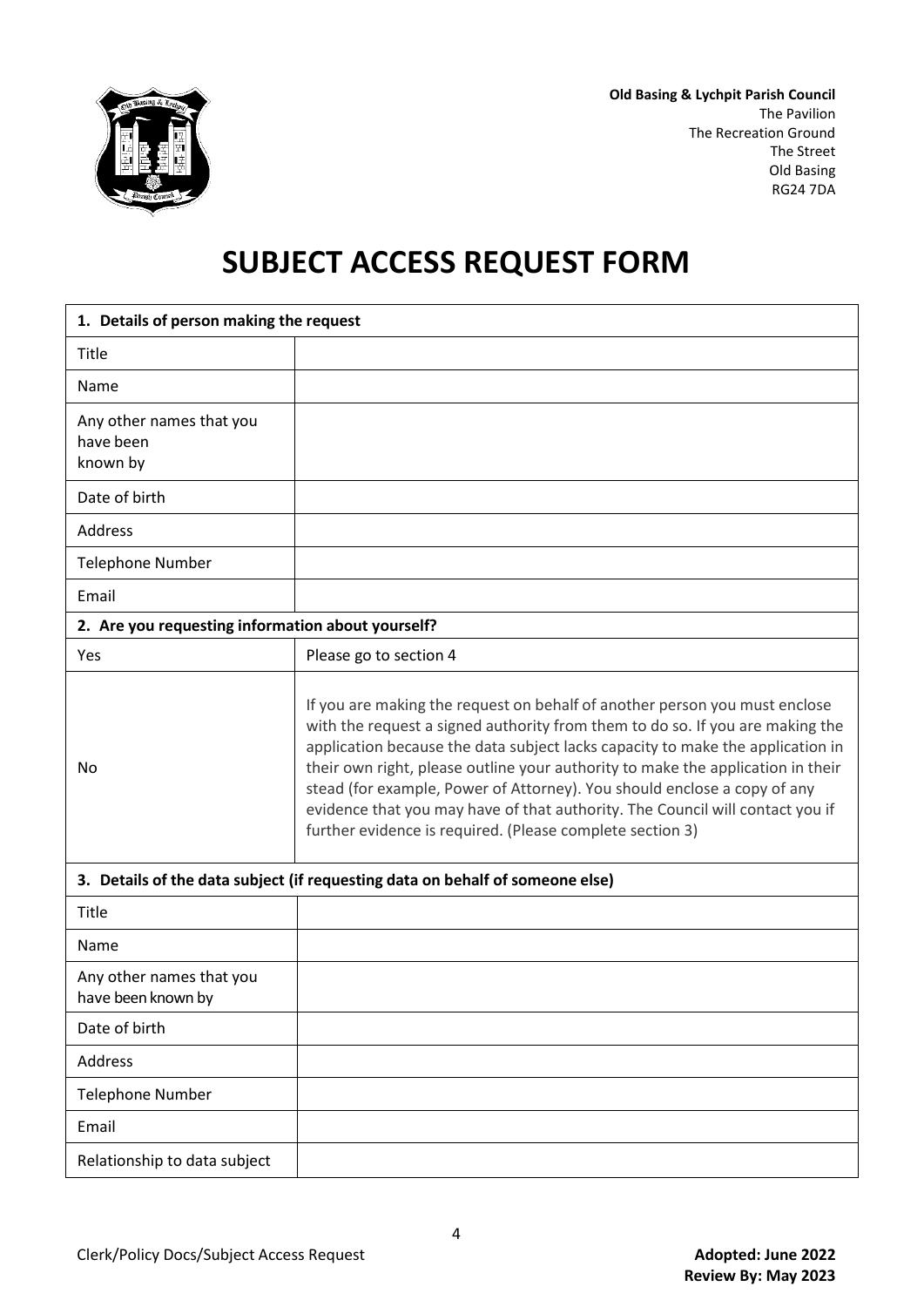

**Old Basing & Lychpit Parish Council** The Pavilion The Recreation Ground The Street Old Basing RG24 7DA

# **SUBJECT ACCESS REQUEST FORM**

| 1. Details of person making the request                                       |                                                                                                                                                                                                                                                                                                                                                                                                                                                                                                                                                            |
|-------------------------------------------------------------------------------|------------------------------------------------------------------------------------------------------------------------------------------------------------------------------------------------------------------------------------------------------------------------------------------------------------------------------------------------------------------------------------------------------------------------------------------------------------------------------------------------------------------------------------------------------------|
| Title                                                                         |                                                                                                                                                                                                                                                                                                                                                                                                                                                                                                                                                            |
| Name                                                                          |                                                                                                                                                                                                                                                                                                                                                                                                                                                                                                                                                            |
| Any other names that you<br>have been<br>known by                             |                                                                                                                                                                                                                                                                                                                                                                                                                                                                                                                                                            |
| Date of birth                                                                 |                                                                                                                                                                                                                                                                                                                                                                                                                                                                                                                                                            |
| Address                                                                       |                                                                                                                                                                                                                                                                                                                                                                                                                                                                                                                                                            |
| <b>Telephone Number</b>                                                       |                                                                                                                                                                                                                                                                                                                                                                                                                                                                                                                                                            |
| Email                                                                         |                                                                                                                                                                                                                                                                                                                                                                                                                                                                                                                                                            |
| 2. Are you requesting information about yourself?                             |                                                                                                                                                                                                                                                                                                                                                                                                                                                                                                                                                            |
| Yes                                                                           | Please go to section 4                                                                                                                                                                                                                                                                                                                                                                                                                                                                                                                                     |
| No                                                                            | If you are making the request on behalf of another person you must enclose<br>with the request a signed authority from them to do so. If you are making the<br>application because the data subject lacks capacity to make the application in<br>their own right, please outline your authority to make the application in their<br>stead (for example, Power of Attorney). You should enclose a copy of any<br>evidence that you may have of that authority. The Council will contact you if<br>further evidence is required. (Please complete section 3) |
| 3. Details of the data subject (if requesting data on behalf of someone else) |                                                                                                                                                                                                                                                                                                                                                                                                                                                                                                                                                            |
| Title<br>Name                                                                 |                                                                                                                                                                                                                                                                                                                                                                                                                                                                                                                                                            |
| Any other names that you<br>have been known by                                |                                                                                                                                                                                                                                                                                                                                                                                                                                                                                                                                                            |
| Date of birth                                                                 |                                                                                                                                                                                                                                                                                                                                                                                                                                                                                                                                                            |
| Address                                                                       |                                                                                                                                                                                                                                                                                                                                                                                                                                                                                                                                                            |
| <b>Telephone Number</b>                                                       |                                                                                                                                                                                                                                                                                                                                                                                                                                                                                                                                                            |
| Email                                                                         |                                                                                                                                                                                                                                                                                                                                                                                                                                                                                                                                                            |
| Relationship to data subject                                                  |                                                                                                                                                                                                                                                                                                                                                                                                                                                                                                                                                            |